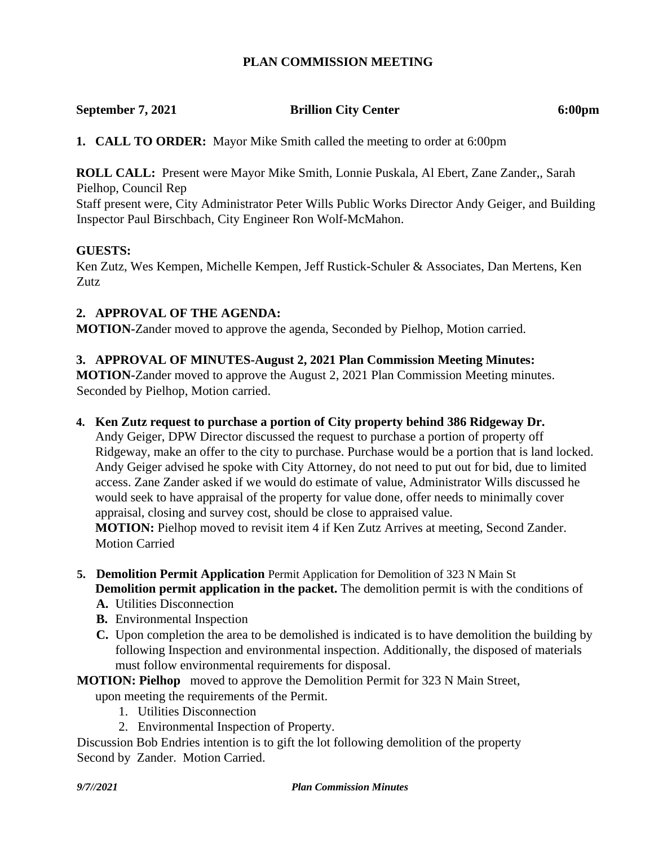## **PLAN COMMISSION MEETING**

# **September 7, 2021 Brillion City Center 6:00pm**

**1. CALL TO ORDER:** Mayor Mike Smith called the meeting to order at 6:00pm

**ROLL CALL:** Present were Mayor Mike Smith, Lonnie Puskala, Al Ebert, Zane Zander,, Sarah Pielhop, Council Rep

Staff present were, City Administrator Peter Wills Public Works Director Andy Geiger, and Building Inspector Paul Birschbach, City Engineer Ron Wolf-McMahon.

### **GUESTS:**

Ken Zutz, Wes Kempen, Michelle Kempen, Jeff Rustick-Schuler & Associates, Dan Mertens, Ken Zutz.

## **2. APPROVAL OF THE AGENDA:**

**MOTION-**Zander moved to approve the agenda, Seconded by Pielhop, Motion carried.

## **3. APPROVAL OF MINUTES-August 2, 2021 Plan Commission Meeting Minutes:**

**MOTION-**Zander moved to approve the August 2, 2021 Plan Commission Meeting minutes. Seconded by Pielhop, Motion carried.

### **4. Ken Zutz request to purchase a portion of City property behind 386 Ridgeway Dr.**

Andy Geiger, DPW Director discussed the request to purchase a portion of property off Ridgeway, make an offer to the city to purchase. Purchase would be a portion that is land locked. Andy Geiger advised he spoke with City Attorney, do not need to put out for bid, due to limited access. Zane Zander asked if we would do estimate of value, Administrator Wills discussed he would seek to have appraisal of the property for value done, offer needs to minimally cover appraisal, closing and survey cost, should be close to appraised value.

**MOTION:** Pielhop moved to revisit item 4 if Ken Zutz Arrives at meeting, Second Zander. Motion Carried

- **5. Demolition Permit Application** Permit Application for Demolition of 323 N Main St **Demolition permit application in the packet.** The demolition permit is with the conditions of
	- **A.** Utilities Disconnection
	- **B.** Environmental Inspection
	- **C.** Upon completion the area to be demolished is indicated is to have demolition the building by following Inspection and environmental inspection. Additionally, the disposed of materials must follow environmental requirements for disposal.
- **MOTION: Pielhop** moved to approve the Demolition Permit for 323 N Main Street, upon meeting the requirements of the Permit.
	- 1. Utilities Disconnection
	- 2. Environmental Inspection of Property.

Discussion Bob Endries intention is to gift the lot following demolition of the property Second by Zander. Motion Carried.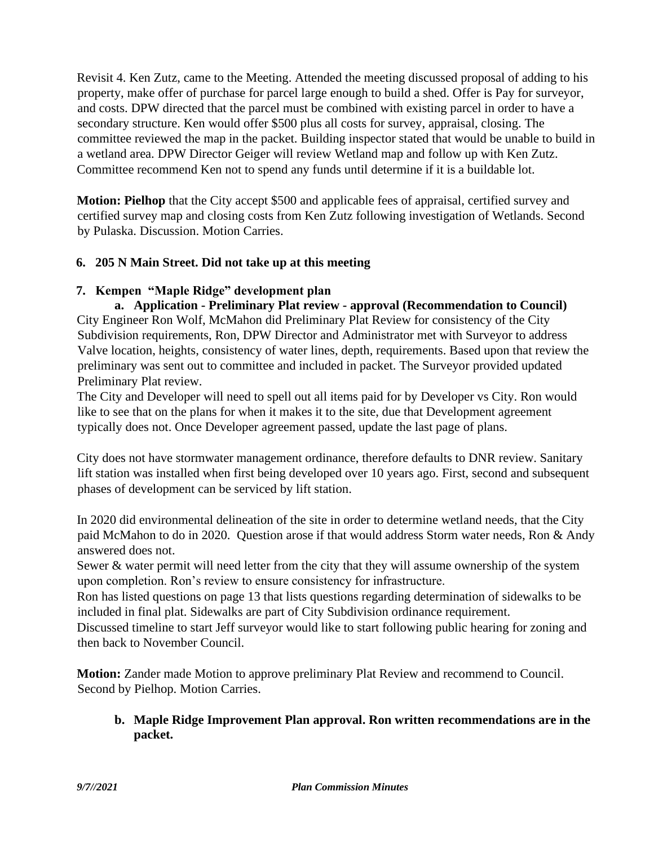Revisit 4. Ken Zutz, came to the Meeting. Attended the meeting discussed proposal of adding to his property, make offer of purchase for parcel large enough to build a shed. Offer is Pay for surveyor, and costs. DPW directed that the parcel must be combined with existing parcel in order to have a secondary structure. Ken would offer \$500 plus all costs for survey, appraisal, closing. The committee reviewed the map in the packet. Building inspector stated that would be unable to build in a wetland area. DPW Director Geiger will review Wetland map and follow up with Ken Zutz. Committee recommend Ken not to spend any funds until determine if it is a buildable lot.

**Motion: Pielhop** that the City accept \$500 and applicable fees of appraisal, certified survey and certified survey map and closing costs from Ken Zutz following investigation of Wetlands. Second by Pulaska. Discussion. Motion Carries.

# **6. 205 N Main Street. Did not take up at this meeting**

## **7. Kempen "Maple Ridge" development plan**

**a. Application - Preliminary Plat review - approval (Recommendation to Council)** City Engineer Ron Wolf, McMahon did Preliminary Plat Review for consistency of the City Subdivision requirements, Ron, DPW Director and Administrator met with Surveyor to address Valve location, heights, consistency of water lines, depth, requirements. Based upon that review the preliminary was sent out to committee and included in packet. The Surveyor provided updated Preliminary Plat review.

The City and Developer will need to spell out all items paid for by Developer vs City. Ron would like to see that on the plans for when it makes it to the site, due that Development agreement typically does not. Once Developer agreement passed, update the last page of plans.

City does not have stormwater management ordinance, therefore defaults to DNR review. Sanitary lift station was installed when first being developed over 10 years ago. First, second and subsequent phases of development can be serviced by lift station.

In 2020 did environmental delineation of the site in order to determine wetland needs, that the City paid McMahon to do in 2020. Question arose if that would address Storm water needs, Ron & Andy answered does not.

Sewer & water permit will need letter from the city that they will assume ownership of the system upon completion. Ron's review to ensure consistency for infrastructure.

Ron has listed questions on page 13 that lists questions regarding determination of sidewalks to be included in final plat. Sidewalks are part of City Subdivision ordinance requirement.

Discussed timeline to start Jeff surveyor would like to start following public hearing for zoning and then back to November Council.

**Motion:** Zander made Motion to approve preliminary Plat Review and recommend to Council. Second by Pielhop. Motion Carries.

## **b. Maple Ridge Improvement Plan approval. Ron written recommendations are in the packet.**